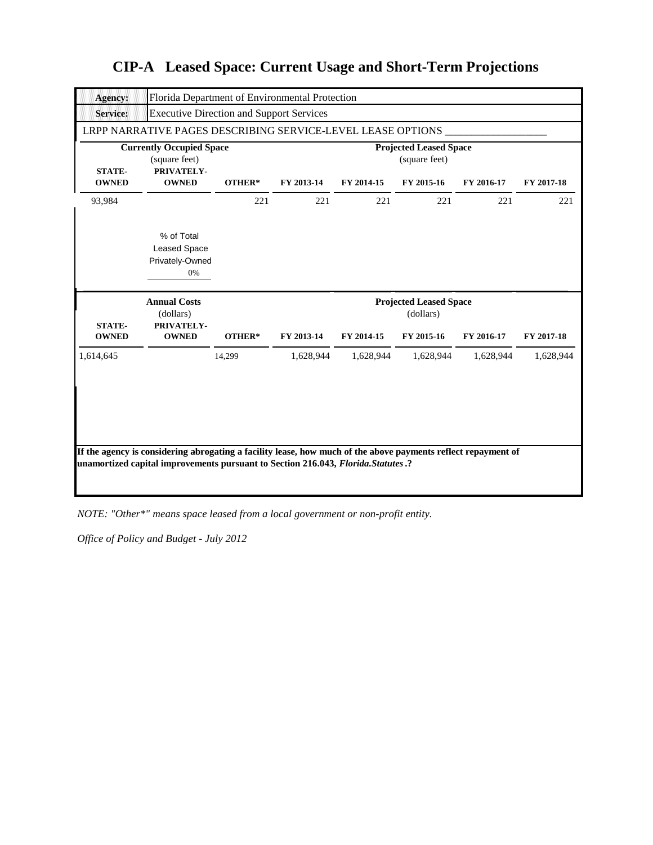| <b>Agency:</b>                | Florida Department of Environmental Protection                 |        |            |            |                                                |            |            |
|-------------------------------|----------------------------------------------------------------|--------|------------|------------|------------------------------------------------|------------|------------|
| <b>Service:</b>               | <b>Executive Direction and Support Services</b>                |        |            |            |                                                |            |            |
|                               | LRPP NARRATIVE PAGES DESCRIBING SERVICE-LEVEL LEASE OPTIONS    |        |            |            |                                                |            |            |
| <b>STATE-</b>                 | <b>Currently Occupied Space</b><br>(square feet)<br>PRIVATELY- |        |            |            | <b>Projected Leased Space</b><br>(square feet) |            |            |
| <b>OWNED</b>                  | <b>OWNED</b>                                                   | OTHER* | FY 2013-14 | FY 2014-15 | FY 2015-16                                     | FY 2016-17 | FY 2017-18 |
| 93,984                        |                                                                | 221    | 221        | 221        | 221                                            | 221        | 221        |
|                               | % of Total<br><b>Leased Space</b><br>Privately-Owned<br>0%     |        |            |            |                                                |            |            |
|                               |                                                                |        |            |            |                                                |            |            |
|                               | <b>Annual Costs</b>                                            |        |            |            | <b>Projected Leased Space</b>                  |            |            |
|                               | (dollars)                                                      |        |            |            | (dollars)                                      |            |            |
| <b>STATE-</b><br><b>OWNED</b> | PRIVATELY-<br><b>OWNED</b>                                     | OTHER* | FY 2013-14 | FY 2014-15 | FY 2015-16                                     | FY 2016-17 | FY 2017-18 |
| 1,614,645                     |                                                                | 14,299 | 1,628,944  | 1,628,944  | 1,628,944                                      | 1,628,944  | 1,628,944  |

*NOTE: "Other\*" means space leased from a local government or non-profit entity.*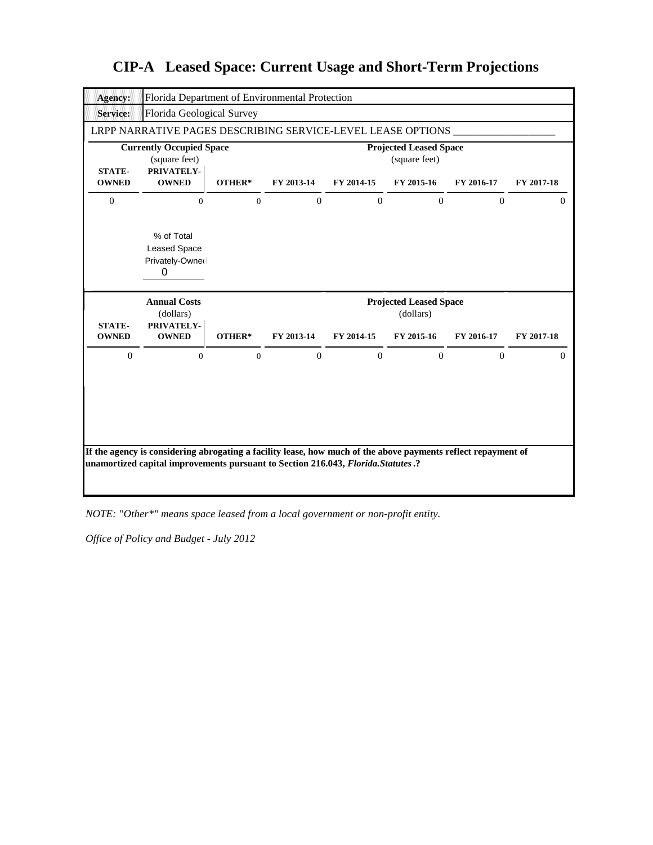

*NOTE: "Other\*" means space leased from a local government or non-profit entity.*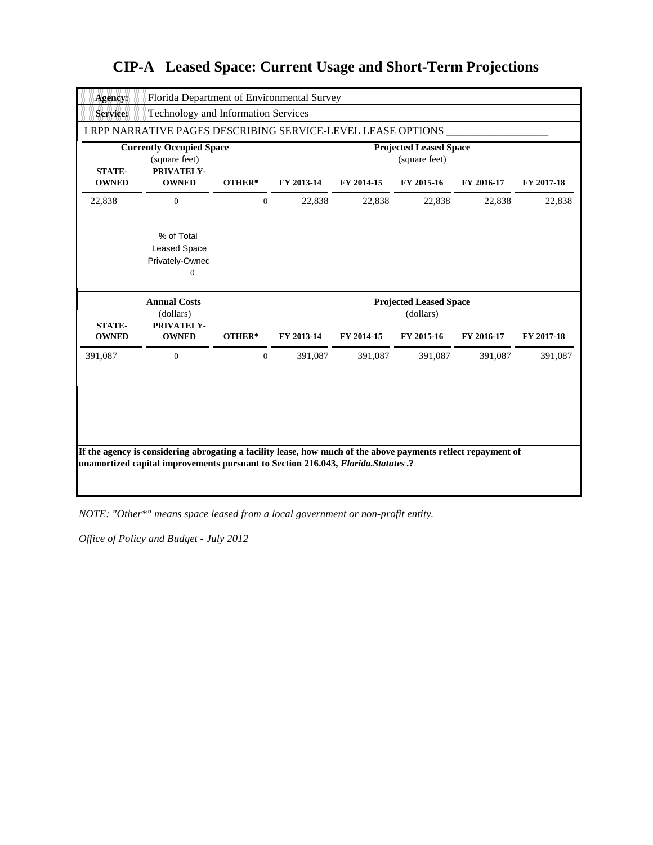| Agency:         | Florida Department of Environmental Survey                                                                    |              |            |            |                                                |            |            |
|-----------------|---------------------------------------------------------------------------------------------------------------|--------------|------------|------------|------------------------------------------------|------------|------------|
| <b>Service:</b> | <b>Technology and Information Services</b>                                                                    |              |            |            |                                                |            |            |
|                 | LRPP NARRATIVE PAGES DESCRIBING SERVICE-LEVEL LEASE OPTIONS                                                   |              |            |            |                                                |            |            |
| <b>STATE-</b>   | <b>Currently Occupied Space</b><br>(square feet)<br>PRIVATELY-                                                |              |            |            | <b>Projected Leased Space</b><br>(square feet) |            |            |
| <b>OWNED</b>    | <b>OWNED</b>                                                                                                  | OTHER*       | FY 2013-14 | FY 2014-15 | FY 2015-16                                     | FY 2016-17 | FY 2017-18 |
| 22,838          | $\Omega$                                                                                                      | $\Omega$     | 22,838     | 22,838     | 22,838                                         | 22,838     | 22,838     |
|                 | % of Total<br><b>Leased Space</b><br>Privately-Owned<br>$\boldsymbol{0}$                                      |              |            |            |                                                |            |            |
|                 |                                                                                                               |              |            |            |                                                |            |            |
| <b>STATE-</b>   | <b>Annual Costs</b><br>(dollars)<br>PRIVATELY-                                                                |              |            |            | <b>Projected Leased Space</b><br>(dollars)     |            |            |
| <b>OWNED</b>    | <b>OWNED</b>                                                                                                  | OTHER*       | FY 2013-14 | FY 2014-15 | FY 2015-16                                     | FY 2016-17 | FY 2017-18 |
| 391,087         | $\mathbf{0}$                                                                                                  | $\mathbf{0}$ | 391,087    | 391,087    | 391,087                                        | 391,087    | 391,087    |
|                 | If the agency is considering abrogating a facility lease, how much of the above payments reflect repayment of |              |            |            |                                                |            |            |

*NOTE: "Other\*" means space leased from a local government or non-profit entity.*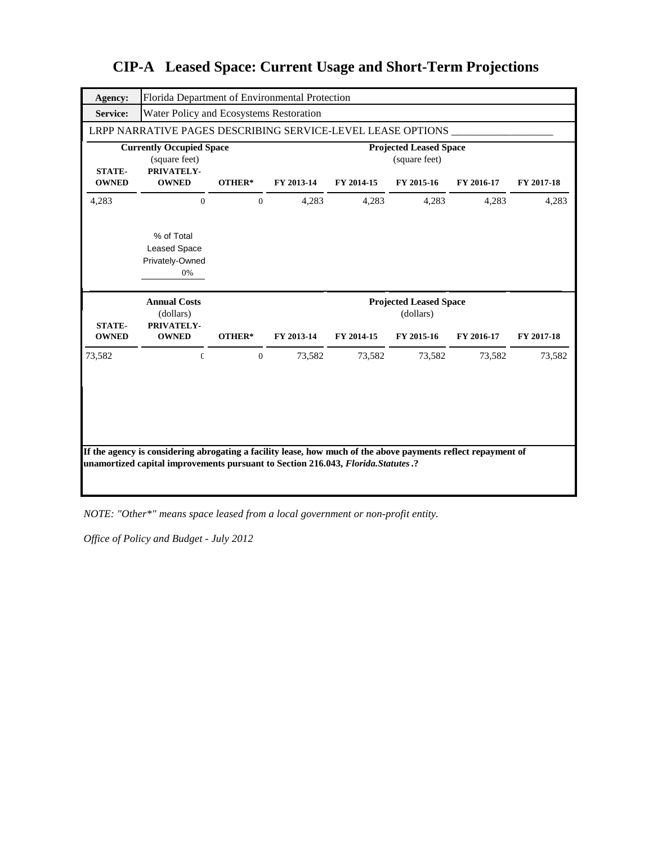| Agency:                       | Florida Department of Environmental Protection                 |                |            |            |                                                |            |            |
|-------------------------------|----------------------------------------------------------------|----------------|------------|------------|------------------------------------------------|------------|------------|
| <b>Service:</b>               | Water Policy and Ecosystems Restoration                        |                |            |            |                                                |            |            |
|                               | LRPP NARRATIVE PAGES DESCRIBING SERVICE-LEVEL LEASE OPTIONS    |                |            |            |                                                |            |            |
| <b>STATE-</b>                 | <b>Currently Occupied Space</b><br>(square feet)<br>PRIVATELY- |                |            |            | <b>Projected Leased Space</b><br>(square feet) |            |            |
| <b>OWNED</b>                  | <b>OWNED</b>                                                   | OTHER*         | FY 2013-14 | FY 2014-15 | FY 2015-16                                     | FY 2016-17 | FY 2017-18 |
| 4,283                         | $\mathbf{0}$                                                   | $\mathbf{0}$   | 4,283      | 4,283      | 4,283                                          | 4,283      | 4,283      |
|                               | % of Total<br><b>Leased Space</b><br>Privately-Owned<br>0%     |                |            |            |                                                |            |            |
|                               |                                                                |                |            |            |                                                |            |            |
|                               | <b>Annual Costs</b><br>(dollars)                               |                |            |            | <b>Projected Leased Space</b><br>(dollars)     |            |            |
| <b>STATE-</b><br><b>OWNED</b> | PRIVATELY-<br><b>OWNED</b>                                     | OTHER*         | FY 2013-14 | FY 2014-15 | FY 2015-16                                     | FY 2016-17 | FY 2017-18 |
| 73,582                        | $\mathbbm{C}$                                                  | $\overline{0}$ | 73,582     | 73,582     | 73,582                                         | 73,582     | 73,582     |

*NOTE: "Other\*" means space leased from a local government or non-profit entity.*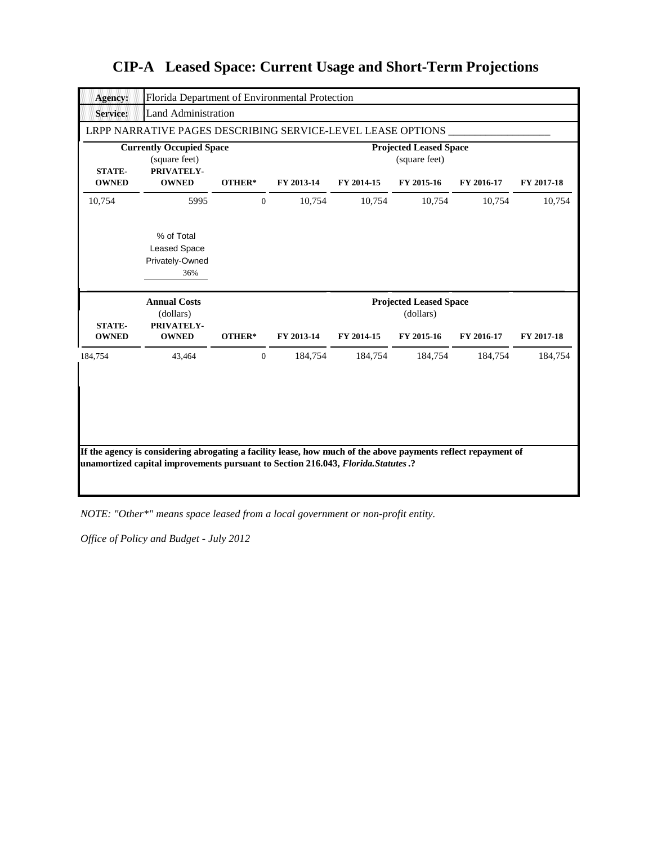| <b>Agency:</b>                | Florida Department of Environmental Protection                 |              |            |            |                                                |            |            |
|-------------------------------|----------------------------------------------------------------|--------------|------------|------------|------------------------------------------------|------------|------------|
| <b>Service:</b>               | <b>Land Administration</b>                                     |              |            |            |                                                |            |            |
|                               | LRPP NARRATIVE PAGES DESCRIBING SERVICE-LEVEL LEASE OPTIONS    |              |            |            |                                                |            |            |
| <b>STATE-</b>                 | <b>Currently Occupied Space</b><br>(square feet)<br>PRIVATELY- |              |            |            | <b>Projected Leased Space</b><br>(square feet) |            |            |
| <b>OWNED</b>                  | <b>OWNED</b>                                                   | OTHER*       | FY 2013-14 | FY 2014-15 | FY 2015-16                                     | FY 2016-17 | FY 2017-18 |
| 10,754                        | 5995                                                           | $\mathbf{0}$ | 10,754     | 10,754     | 10,754                                         | 10,754     | 10,754     |
|                               | % of Total<br><b>Leased Space</b><br>Privately-Owned<br>36%    |              |            |            |                                                |            |            |
|                               |                                                                |              |            |            |                                                |            |            |
|                               | <b>Annual Costs</b><br>(dollars)                               |              |            |            | <b>Projected Leased Space</b><br>(dollars)     |            |            |
| <b>STATE-</b><br><b>OWNED</b> | PRIVATELY-<br><b>OWNED</b>                                     | OTHER*       | FY 2013-14 | FY 2014-15 | FY 2015-16                                     | FY 2016-17 | FY 2017-18 |
| 184,754                       | 43,464                                                         | $\mathbf{0}$ | 184,754    | 184,754    | 184,754                                        | 184,754    | 184,754    |

*NOTE: "Other\*" means space leased from a local government or non-profit entity.*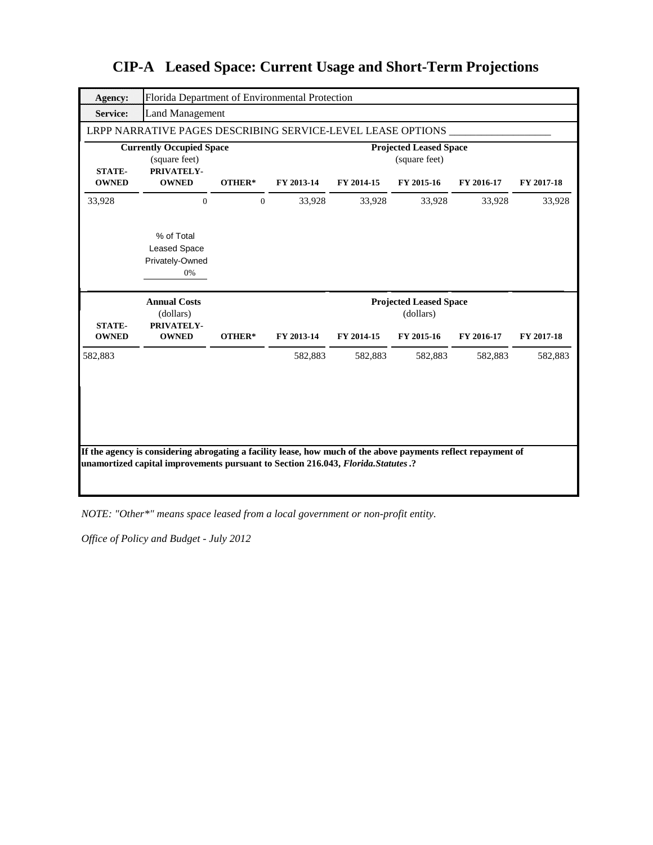| <b>Agency:</b>                | Florida Department of Environmental Protection                 |                |            |            |                                                |            |            |
|-------------------------------|----------------------------------------------------------------|----------------|------------|------------|------------------------------------------------|------------|------------|
| <b>Service:</b>               | Land Management                                                |                |            |            |                                                |            |            |
|                               | LRPP NARRATIVE PAGES DESCRIBING SERVICE-LEVEL LEASE OPTIONS    |                |            |            |                                                |            |            |
| <b>STATE-</b>                 | <b>Currently Occupied Space</b><br>(square feet)<br>PRIVATELY- |                |            |            | <b>Projected Leased Space</b><br>(square feet) |            |            |
| <b>OWNED</b>                  | <b>OWNED</b>                                                   | OTHER*         | FY 2013-14 | FY 2014-15 | FY 2015-16                                     | FY 2016-17 | FY 2017-18 |
| 33,928                        | $\Omega$                                                       | $\overline{0}$ | 33,928     | 33,928     | 33,928                                         | 33,928     | 33,928     |
|                               | % of Total<br><b>Leased Space</b><br>Privately-Owned<br>0%     |                |            |            |                                                |            |            |
|                               |                                                                |                |            |            |                                                |            |            |
|                               | <b>Annual Costs</b><br>(dollars)                               |                |            |            | <b>Projected Leased Space</b><br>(dollars)     |            |            |
| <b>STATE-</b><br><b>OWNED</b> | PRIVATELY-<br><b>OWNED</b>                                     | OTHER*         | FY 2013-14 | FY 2014-15 | FY 2015-16                                     | FY 2016-17 | FY 2017-18 |
| 582,883                       |                                                                |                | 582,883    | 582,883    | 582,883                                        | 582,883    | 582,883    |

*NOTE: "Other\*" means space leased from a local government or non-profit entity.*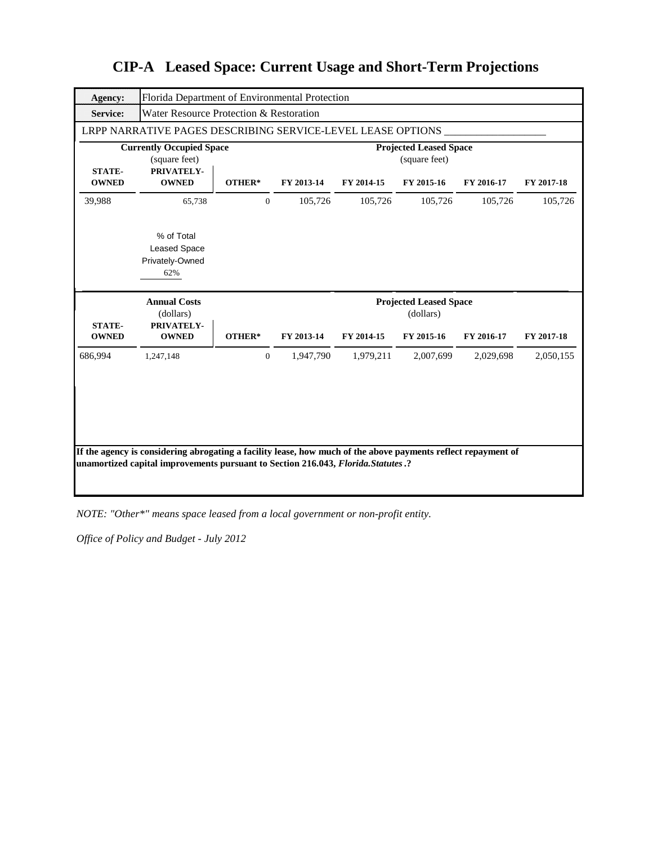| Agency:                       | Florida Department of Environmental Protection                 |                  |            |            |                                                |            |            |
|-------------------------------|----------------------------------------------------------------|------------------|------------|------------|------------------------------------------------|------------|------------|
| <b>Service:</b>               | Water Resource Protection & Restoration                        |                  |            |            |                                                |            |            |
|                               | LRPP NARRATIVE PAGES DESCRIBING SERVICE-LEVEL LEASE OPTIONS    |                  |            |            |                                                |            |            |
| <b>STATE-</b>                 | <b>Currently Occupied Space</b><br>(square feet)<br>PRIVATELY- |                  |            |            | <b>Projected Leased Space</b><br>(square feet) |            |            |
| <b>OWNED</b>                  | <b>OWNED</b>                                                   | OTHER*           | FY 2013-14 | FY 2014-15 | FY 2015-16                                     | FY 2016-17 | FY 2017-18 |
| 39,988                        | 65,738                                                         | $\mathbf{0}$     | 105,726    | 105,726    | 105,726                                        | 105,726    | 105,726    |
|                               | % of Total<br><b>Leased Space</b><br>Privately-Owned<br>62%    |                  |            |            |                                                |            |            |
|                               |                                                                |                  |            |            |                                                |            |            |
|                               | <b>Annual Costs</b><br>(dollars)                               |                  |            |            | <b>Projected Leased Space</b><br>(dollars)     |            |            |
| <b>STATE-</b><br><b>OWNED</b> | PRIVATELY-<br><b>OWNED</b>                                     | OTHER*           | FY 2013-14 | FY 2014-15 | FY 2015-16                                     | FY 2016-17 | FY 2017-18 |
| 686,994                       | 1,247,148                                                      | $\boldsymbol{0}$ | 1,947,790  | 1,979,211  | 2,007,699                                      | 2,029,698  | 2,050,155  |

*NOTE: "Other\*" means space leased from a local government or non-profit entity.*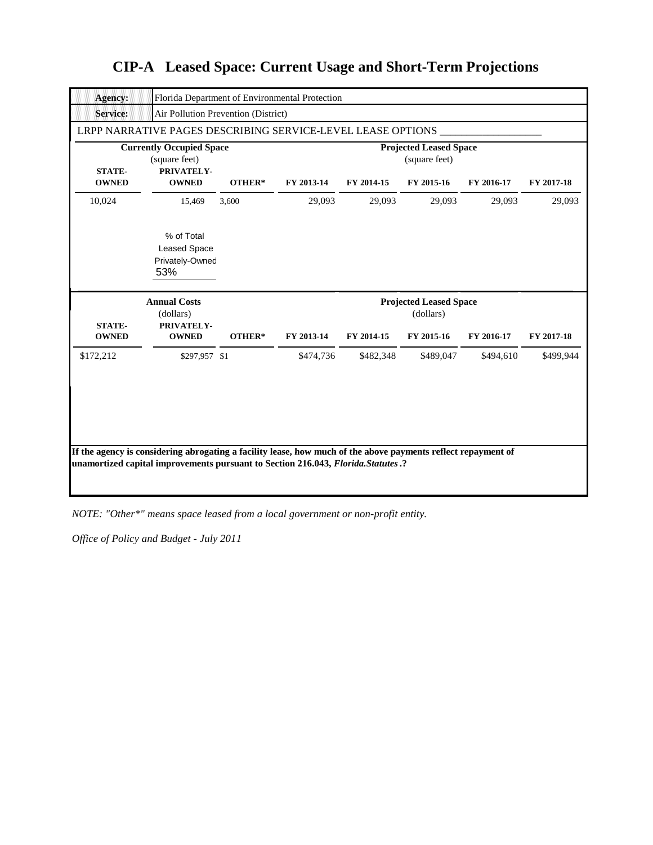| <b>Agency:</b>                |                                                                                                               |        | Florida Department of Environmental Protection |            |                                                |            |            |
|-------------------------------|---------------------------------------------------------------------------------------------------------------|--------|------------------------------------------------|------------|------------------------------------------------|------------|------------|
| <b>Service:</b>               | Air Pollution Prevention (District)                                                                           |        |                                                |            |                                                |            |            |
|                               | LRPP NARRATIVE PAGES DESCRIBING SERVICE-LEVEL LEASE OPTIONS                                                   |        |                                                |            |                                                |            |            |
|                               | <b>Currently Occupied Space</b><br>(square feet)                                                              |        |                                                |            | <b>Projected Leased Space</b><br>(square feet) |            |            |
| <b>STATE-</b><br><b>OWNED</b> | PRIVATELY-<br><b>OWNED</b>                                                                                    | OTHER* | FY 2013-14                                     | FY 2014-15 | FY 2015-16                                     | FY 2016-17 | FY 2017-18 |
| 10,024                        | 15,469                                                                                                        | 3,600  | 29,093                                         | 29,093     | 29,093                                         | 29,093     | 29,093     |
|                               | % of Total<br><b>Leased Space</b><br>Privately-Owned<br>53%                                                   |        |                                                |            |                                                |            |            |
|                               |                                                                                                               |        |                                                |            |                                                |            |            |
| <b>STATE-</b>                 | <b>Annual Costs</b><br>(dollars)<br>PRIVATELY-                                                                |        |                                                |            | <b>Projected Leased Space</b><br>(dollars)     |            |            |
| <b>OWNED</b>                  | <b>OWNED</b>                                                                                                  | OTHER* | FY 2013-14                                     | FY 2014-15 | FY 2015-16                                     | FY 2016-17 | FY 2017-18 |
| \$172,212                     | \$297,957 \$1                                                                                                 |        | \$474,736                                      | \$482,348  | \$489,047                                      | \$494,610  | \$499,944  |
|                               | If the agency is considering abrogating a facility lease, how much of the above payments reflect repayment of |        |                                                |            |                                                |            |            |

*NOTE: "Other\*" means space leased from a local government or non-profit entity.*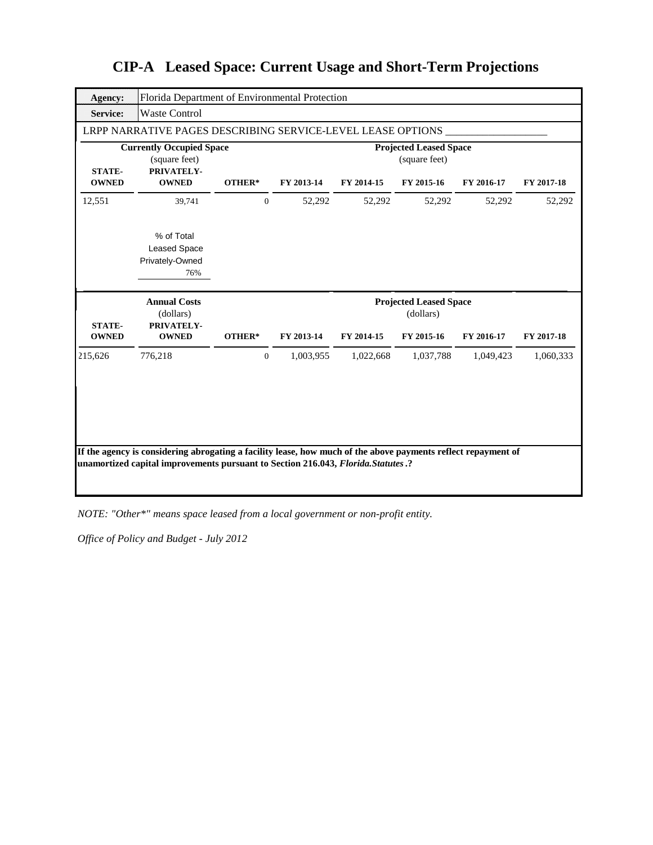| Agency:                       |                                                                | Florida Department of Environmental Protection |            |            |                                                |            |            |
|-------------------------------|----------------------------------------------------------------|------------------------------------------------|------------|------------|------------------------------------------------|------------|------------|
| <b>Service:</b>               | <b>Waste Control</b>                                           |                                                |            |            |                                                |            |            |
|                               | LRPP NARRATIVE PAGES DESCRIBING SERVICE-LEVEL LEASE OPTIONS    |                                                |            |            |                                                |            |            |
| <b>STATE-</b>                 | <b>Currently Occupied Space</b><br>(square feet)<br>PRIVATELY- |                                                |            |            | <b>Projected Leased Space</b><br>(square feet) |            |            |
| <b>OWNED</b>                  | <b>OWNED</b>                                                   | OTHER*                                         | FY 2013-14 | FY 2014-15 | FY 2015-16                                     | FY 2016-17 | FY 2017-18 |
| 12,551                        | 39,741                                                         | $\mathbf{0}$                                   | 52,292     | 52,292     | 52,292                                         | 52,292     | 52,292     |
|                               | % of Total<br><b>Leased Space</b><br>Privately-Owned<br>76%    |                                                |            |            |                                                |            |            |
|                               |                                                                |                                                |            |            |                                                |            |            |
|                               | <b>Annual Costs</b>                                            |                                                |            |            | <b>Projected Leased Space</b>                  |            |            |
| <b>STATE-</b><br><b>OWNED</b> | (dollars)<br>PRIVATELY-<br><b>OWNED</b>                        | OTHER*                                         | FY 2013-14 | FY 2014-15 | (dollars)<br>FY 2015-16                        | FY 2016-17 | FY 2017-18 |
| 215,626                       | 776,218                                                        | $\overline{0}$                                 | 1,003,955  | 1,022,668  | 1,037,788                                      | 1,049,423  | 1,060,333  |

*NOTE: "Other\*" means space leased from a local government or non-profit entity.*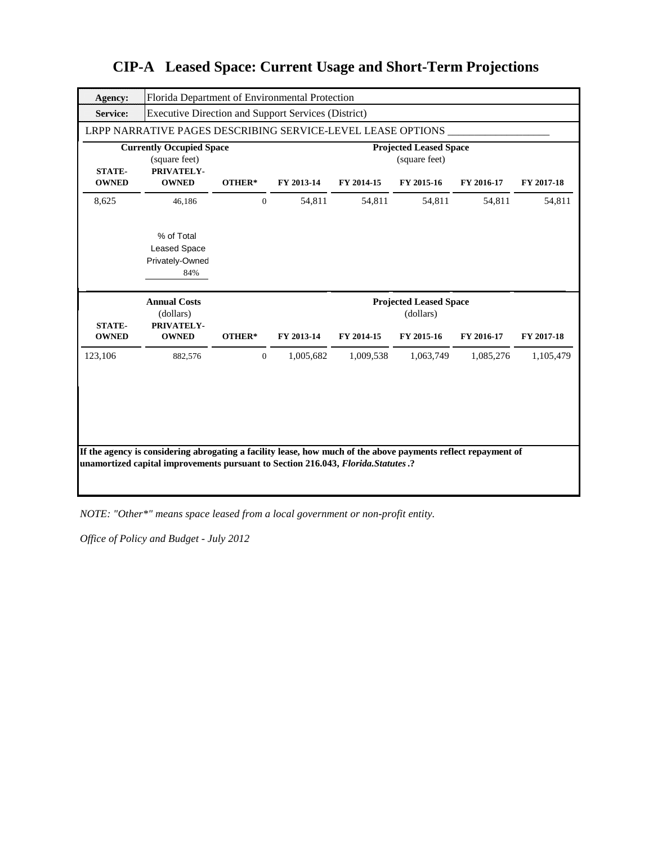| <b>Agency:</b>                | Florida Department of Environmental Protection                 |              |            |            |                                                |            |            |
|-------------------------------|----------------------------------------------------------------|--------------|------------|------------|------------------------------------------------|------------|------------|
| <b>Service:</b>               | <b>Executive Direction and Support Services (District)</b>     |              |            |            |                                                |            |            |
|                               | LRPP NARRATIVE PAGES DESCRIBING SERVICE-LEVEL LEASE OPTIONS    |              |            |            |                                                |            |            |
| <b>STATE-</b>                 | <b>Currently Occupied Space</b><br>(square feet)<br>PRIVATELY- |              |            |            | <b>Projected Leased Space</b><br>(square feet) |            |            |
| <b>OWNED</b>                  | <b>OWNED</b>                                                   | OTHER*       | FY 2013-14 | FY 2014-15 | FY 2015-16                                     | FY 2016-17 | FY 2017-18 |
| 8,625                         | 46,186                                                         | $\mathbf{0}$ | 54,811     | 54,811     | 54,811                                         | 54,811     | 54,811     |
|                               | % of Total<br><b>Leased Space</b><br>Privately-Owned<br>84%    |              |            |            |                                                |            |            |
|                               |                                                                |              |            |            |                                                |            |            |
|                               | <b>Annual Costs</b>                                            |              |            |            | <b>Projected Leased Space</b>                  |            |            |
| <b>STATE-</b><br><b>OWNED</b> | (dollars)<br>PRIVATELY-<br><b>OWNED</b>                        | OTHER*       | FY 2013-14 | FY 2014-15 | (dollars)<br>FY 2015-16                        | FY 2016-17 | FY 2017-18 |
| 123,106                       | 882,576                                                        | $\mathbf{0}$ | 1,005,682  | 1,009,538  | 1,063,749                                      | 1,085,276  | 1,105,479  |

*NOTE: "Other\*" means space leased from a local government or non-profit entity.*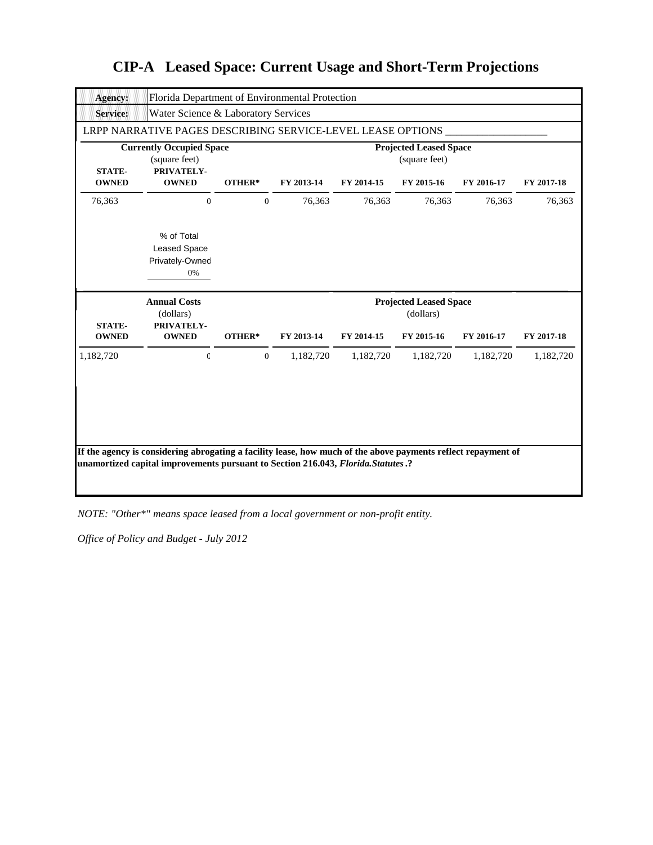| <b>Agency:</b>                | Florida Department of Environmental Protection                 |                  |            |            |                                                |            |            |
|-------------------------------|----------------------------------------------------------------|------------------|------------|------------|------------------------------------------------|------------|------------|
| <b>Service:</b>               | Water Science & Laboratory Services                            |                  |            |            |                                                |            |            |
|                               | LRPP NARRATIVE PAGES DESCRIBING SERVICE-LEVEL LEASE OPTIONS    |                  |            |            |                                                |            |            |
| <b>STATE-</b>                 | <b>Currently Occupied Space</b><br>(square feet)<br>PRIVATELY- |                  |            |            | <b>Projected Leased Space</b><br>(square feet) |            |            |
| <b>OWNED</b>                  | <b>OWNED</b>                                                   | OTHER*           | FY 2013-14 | FY 2014-15 | FY 2015-16                                     | FY 2016-17 | FY 2017-18 |
| 76,363                        | $\Omega$                                                       | $\mathbf{0}$     | 76,363     | 76,363     | 76,363                                         | 76,363     | 76,363     |
|                               | % of Total<br><b>Leased Space</b><br>Privately-Owned<br>0%     |                  |            |            |                                                |            |            |
|                               |                                                                |                  |            |            |                                                |            |            |
|                               | <b>Annual Costs</b><br>(dollars)                               |                  |            |            | <b>Projected Leased Space</b><br>(dollars)     |            |            |
| <b>STATE-</b><br><b>OWNED</b> | PRIVATELY-<br><b>OWNED</b>                                     | OTHER*           | FY 2013-14 | FY 2014-15 | FY 2015-16                                     | FY 2016-17 | FY 2017-18 |
| 1,182,720                     | $\mathbf{C}$                                                   | $\boldsymbol{0}$ | 1,182,720  | 1,182,720  | 1,182,720                                      | 1,182,720  | 1,182,720  |

*NOTE: "Other\*" means space leased from a local government or non-profit entity.*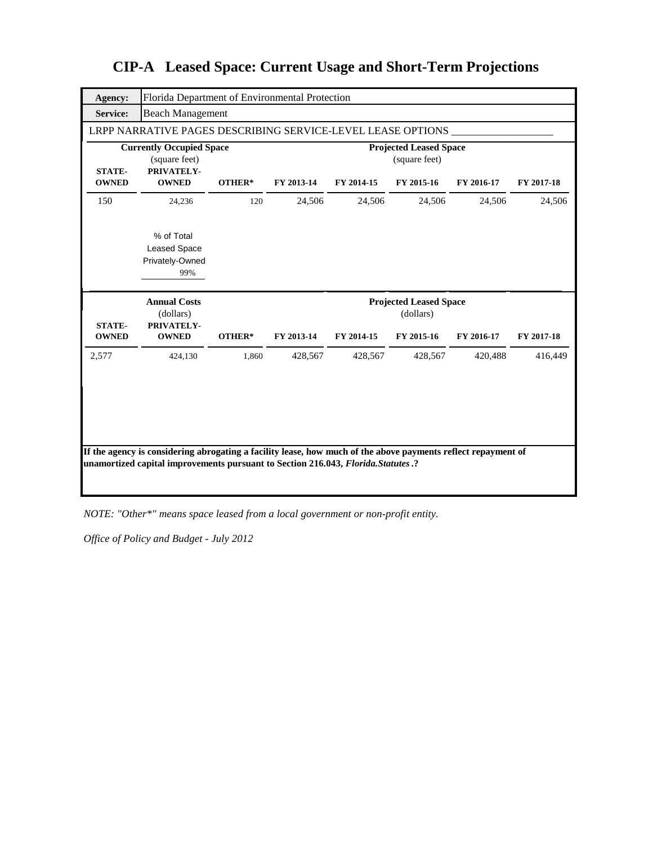| <b>Agency:</b>                | Florida Department of Environmental Protection                 |        |            |            |                                                |            |            |
|-------------------------------|----------------------------------------------------------------|--------|------------|------------|------------------------------------------------|------------|------------|
| <b>Service:</b>               | <b>Beach Management</b>                                        |        |            |            |                                                |            |            |
|                               | LRPP NARRATIVE PAGES DESCRIBING SERVICE-LEVEL LEASE OPTIONS    |        |            |            |                                                |            |            |
| <b>STATE-</b>                 | <b>Currently Occupied Space</b><br>(square feet)<br>PRIVATELY- |        |            |            | <b>Projected Leased Space</b><br>(square feet) |            |            |
| <b>OWNED</b>                  | <b>OWNED</b>                                                   | OTHER* | FY 2013-14 | FY 2014-15 | FY 2015-16                                     | FY 2016-17 | FY 2017-18 |
| 150                           | 24,236                                                         | 120    | 24,506     | 24,506     | 24,506                                         | 24,506     | 24,506     |
|                               | % of Total<br><b>Leased Space</b><br>Privately-Owned<br>99%    |        |            |            |                                                |            |            |
|                               |                                                                |        |            |            |                                                |            |            |
|                               | <b>Annual Costs</b><br>(dollars)                               |        |            |            | <b>Projected Leased Space</b><br>(dollars)     |            |            |
| <b>STATE-</b><br><b>OWNED</b> | PRIVATELY-<br><b>OWNED</b>                                     | OTHER* | FY 2013-14 | FY 2014-15 | FY 2015-16                                     | FY 2016-17 | FY 2017-18 |
| 2,577                         | 424,130                                                        | 1,860  | 428,567    | 428,567    | 428,567                                        | 420,488    | 416,449    |
|                               |                                                                |        |            |            |                                                |            |            |
|                               |                                                                |        |            |            |                                                |            |            |

*NOTE: "Other\*" means space leased from a local government or non-profit entity.*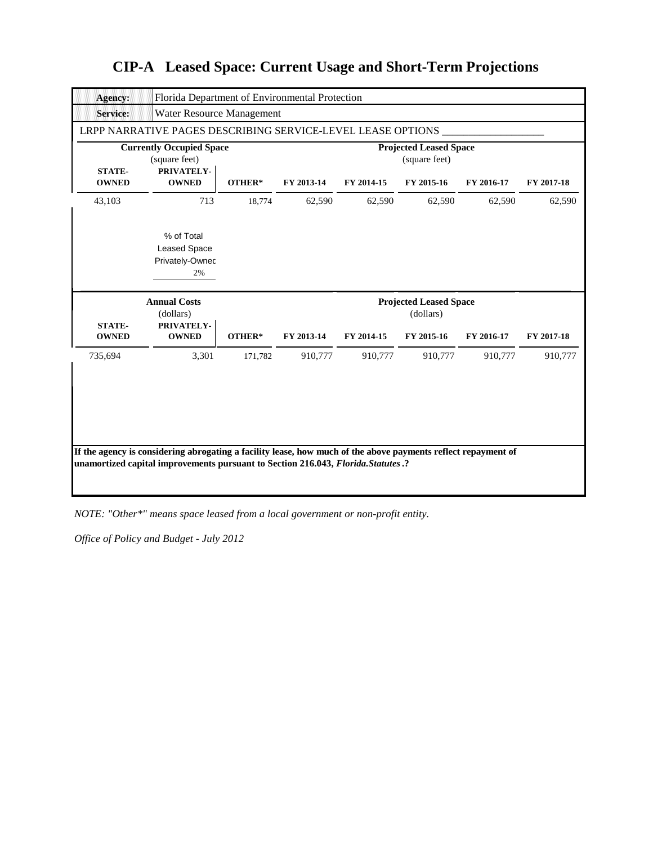| <b>Agency:</b>                | Florida Department of Environmental Protection              |         |            |            |                                                |            |            |
|-------------------------------|-------------------------------------------------------------|---------|------------|------------|------------------------------------------------|------------|------------|
| <b>Service:</b>               | Water Resource Management                                   |         |            |            |                                                |            |            |
|                               | LRPP NARRATIVE PAGES DESCRIBING SERVICE-LEVEL LEASE OPTIONS |         |            |            |                                                |            |            |
|                               | <b>Currently Occupied Space</b><br>(square feet)            |         |            |            | <b>Projected Leased Space</b><br>(square feet) |            |            |
| <b>STATE-</b><br><b>OWNED</b> | PRIVATELY-<br><b>OWNED</b>                                  | OTHER*  | FY 2013-14 | FY 2014-15 | FY 2015-16                                     | FY 2016-17 | FY 2017-18 |
| 43,103                        | 713                                                         | 18,774  | 62,590     | 62,590     | 62,590                                         | 62,590     | 62,590     |
|                               | % of Total<br><b>Leased Space</b><br>Privately-Ownec<br>2%  |         |            |            |                                                |            |            |
|                               |                                                             |         |            |            |                                                |            |            |
|                               | <b>Annual Costs</b><br>(dollars)                            |         |            |            | <b>Projected Leased Space</b><br>(dollars)     |            |            |
| <b>STATE-</b><br><b>OWNED</b> | PRIVATELY-<br><b>OWNED</b>                                  | OTHER*  | FY 2013-14 | FY 2014-15 | FY 2015-16                                     | FY 2016-17 | FY 2017-18 |
| 735,694                       | 3,301                                                       | 171,782 | 910,777    | 910,777    | 910,777                                        | 910,777    | 910,777    |

*NOTE: "Other\*" means space leased from a local government or non-profit entity.*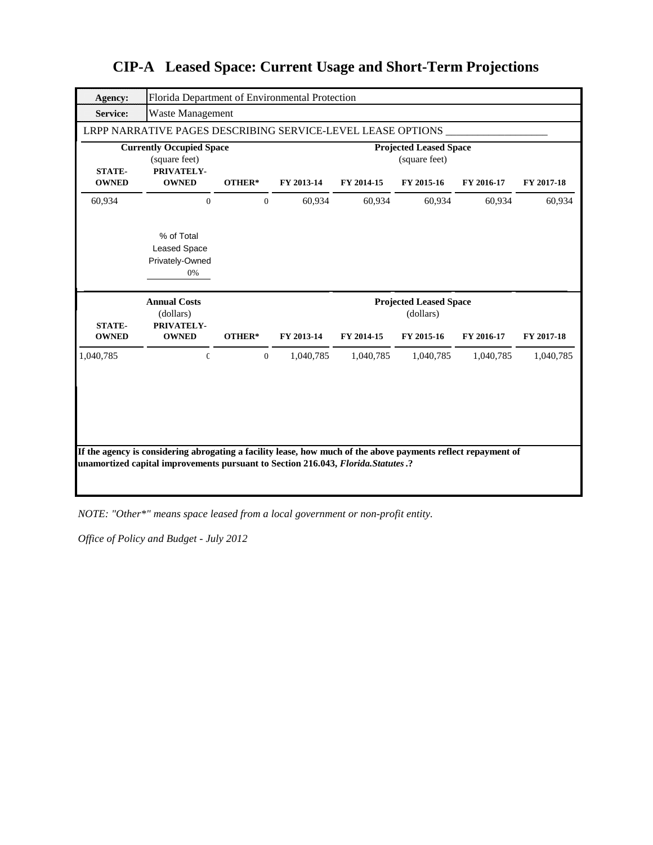| <b>Agency:</b>                | Florida Department of Environmental Protection                 |                  |            |            |                                                |            |            |
|-------------------------------|----------------------------------------------------------------|------------------|------------|------------|------------------------------------------------|------------|------------|
| <b>Service:</b>               | Waste Management                                               |                  |            |            |                                                |            |            |
|                               | LRPP NARRATIVE PAGES DESCRIBING SERVICE-LEVEL LEASE OPTIONS    |                  |            |            |                                                |            |            |
| <b>STATE-</b>                 | <b>Currently Occupied Space</b><br>(square feet)<br>PRIVATELY- |                  |            |            | <b>Projected Leased Space</b><br>(square feet) |            |            |
| <b>OWNED</b>                  | <b>OWNED</b>                                                   | OTHER*           | FY 2013-14 | FY 2014-15 | FY 2015-16                                     | FY 2016-17 | FY 2017-18 |
| 60,934                        | $\Omega$                                                       | $\overline{0}$   | 60,934     | 60,934     | 60,934                                         | 60,934     | 60,934     |
|                               | % of Total<br><b>Leased Space</b><br>Privately-Owned<br>0%     |                  |            |            |                                                |            |            |
|                               |                                                                |                  |            |            |                                                |            |            |
|                               | <b>Annual Costs</b><br>(dollars)                               |                  |            |            | <b>Projected Leased Space</b><br>(dollars)     |            |            |
| <b>STATE-</b><br><b>OWNED</b> | PRIVATELY-<br><b>OWNED</b>                                     | OTHER*           | FY 2013-14 | FY 2014-15 | FY 2015-16                                     | FY 2016-17 | FY 2017-18 |
| 1,040,785                     | $\mathbf{C}$                                                   | $\boldsymbol{0}$ | 1,040,785  | 1,040,785  | 1,040,785                                      | 1,040,785  | 1,040,785  |

*NOTE: "Other\*" means space leased from a local government or non-profit entity.*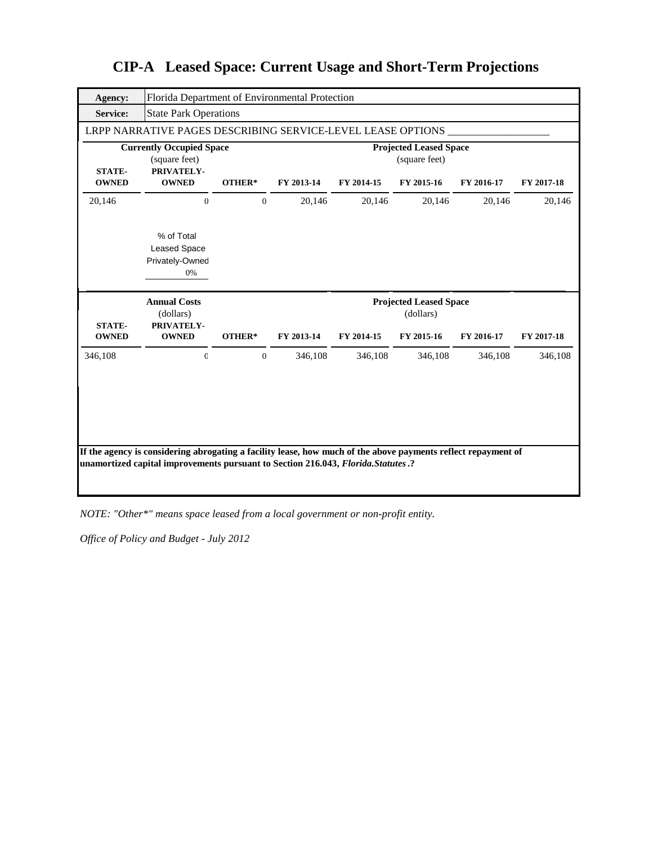| <b>Agency:</b>                | Florida Department of Environmental Protection                 |              |            |            |                                                |            |            |
|-------------------------------|----------------------------------------------------------------|--------------|------------|------------|------------------------------------------------|------------|------------|
| <b>Service:</b>               | <b>State Park Operations</b>                                   |              |            |            |                                                |            |            |
|                               | LRPP NARRATIVE PAGES DESCRIBING SERVICE-LEVEL LEASE OPTIONS    |              |            |            |                                                |            |            |
| <b>STATE-</b>                 | <b>Currently Occupied Space</b><br>(square feet)<br>PRIVATELY- |              |            |            | <b>Projected Leased Space</b><br>(square feet) |            |            |
| <b>OWNED</b>                  | <b>OWNED</b>                                                   | OTHER*       | FY 2013-14 | FY 2014-15 | FY 2015-16                                     | FY 2016-17 | FY 2017-18 |
| 20,146                        | $\Omega$                                                       | $\mathbf{0}$ | 20,146     | 20,146     | 20,146                                         | 20,146     | 20,146     |
|                               | % of Total<br><b>Leased Space</b><br>Privately-Owned<br>0%     |              |            |            |                                                |            |            |
|                               |                                                                |              |            |            |                                                |            |            |
|                               | <b>Annual Costs</b>                                            |              |            |            | <b>Projected Leased Space</b>                  |            |            |
| <b>STATE-</b><br><b>OWNED</b> | (dollars)<br>PRIVATELY-<br><b>OWNED</b>                        | OTHER*       | FY 2013-14 | FY 2014-15 | (dollars)<br>FY 2015-16                        | FY 2016-17 | FY 2017-18 |
| 346,108                       | $\mathcal{C}$                                                  | $\mathbf{0}$ | 346,108    | 346,108    | 346,108                                        | 346,108    | 346,108    |

*NOTE: "Other\*" means space leased from a local government or non-profit entity.*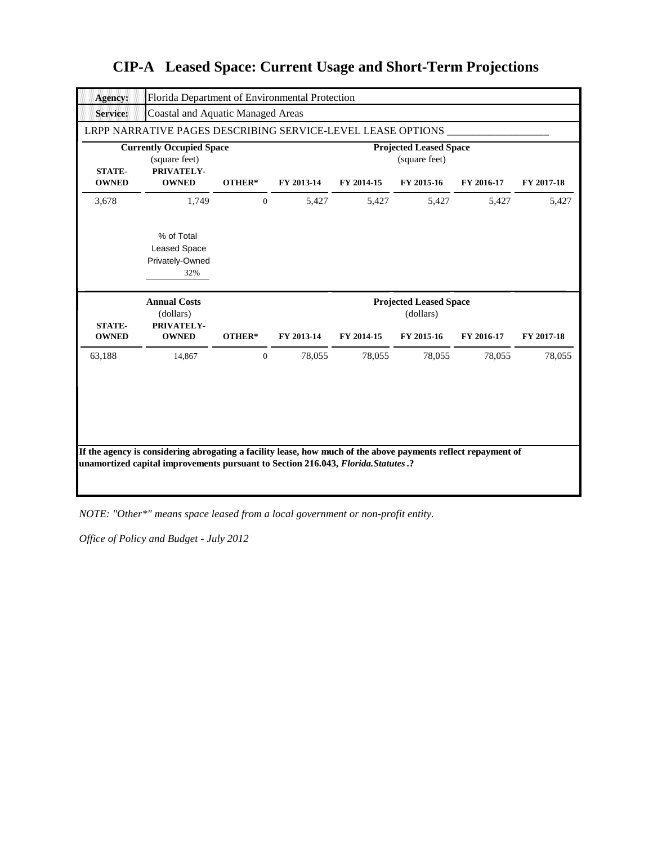| <b>Agency:</b>                |                                                                |                  | Florida Department of Environmental Protection |            |                                                |            |            |
|-------------------------------|----------------------------------------------------------------|------------------|------------------------------------------------|------------|------------------------------------------------|------------|------------|
| <b>Service:</b>               | <b>Coastal and Aquatic Managed Areas</b>                       |                  |                                                |            |                                                |            |            |
|                               | LRPP NARRATIVE PAGES DESCRIBING SERVICE-LEVEL LEASE OPTIONS    |                  |                                                |            |                                                |            |            |
| <b>STATE-</b>                 | <b>Currently Occupied Space</b><br>(square feet)<br>PRIVATELY- |                  |                                                |            | <b>Projected Leased Space</b><br>(square feet) |            |            |
| <b>OWNED</b>                  | <b>OWNED</b>                                                   | OTHER*           | FY 2013-14                                     | FY 2014-15 | FY 2015-16                                     | FY 2016-17 | FY 2017-18 |
| 3,678                         | 1,749                                                          | $\mathbf{0}$     | 5,427                                          | 5,427      | 5,427                                          | 5,427      | 5,427      |
|                               | % of Total<br><b>Leased Space</b><br>Privately-Owned<br>32%    |                  |                                                |            |                                                |            |            |
|                               |                                                                |                  |                                                |            |                                                |            |            |
|                               | <b>Annual Costs</b><br>(dollars)                               |                  |                                                |            | <b>Projected Leased Space</b><br>(dollars)     |            |            |
| <b>STATE-</b><br><b>OWNED</b> | PRIVATELY-<br><b>OWNED</b>                                     | OTHER*           | FY 2013-14                                     | FY 2014-15 | FY 2015-16                                     | FY 2016-17 | FY 2017-18 |
| 63,188                        | 14,867                                                         | $\boldsymbol{0}$ | 78,055                                         | 78,055     | 78,055                                         | 78,055     | 78,055     |

*NOTE: "Other\*" means space leased from a local government or non-profit entity.*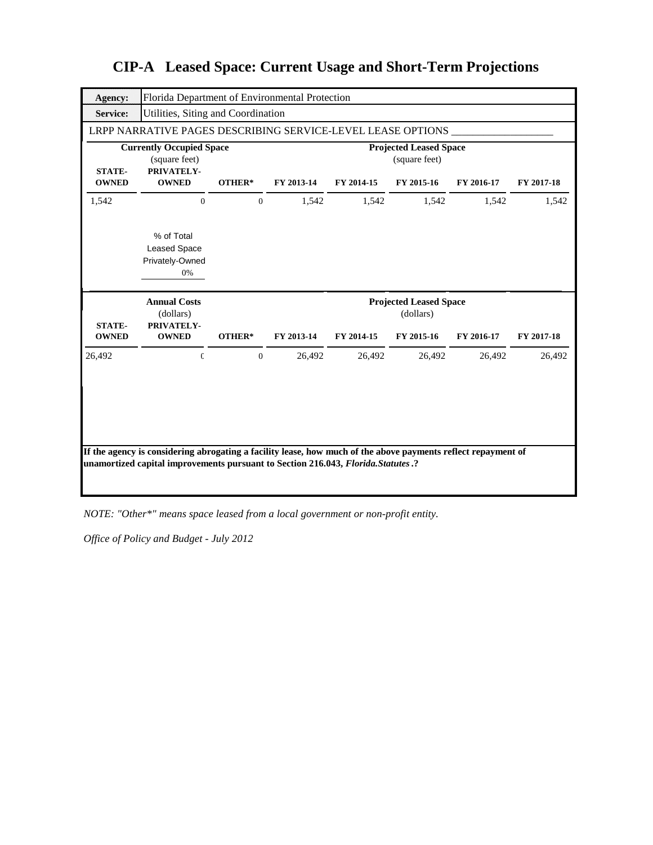| Agency:                       | Florida Department of Environmental Protection                 |                |            |            |                                                |            |            |
|-------------------------------|----------------------------------------------------------------|----------------|------------|------------|------------------------------------------------|------------|------------|
| <b>Service:</b>               | Utilities, Siting and Coordination                             |                |            |            |                                                |            |            |
|                               | LRPP NARRATIVE PAGES DESCRIBING SERVICE-LEVEL LEASE OPTIONS    |                |            |            |                                                |            |            |
| <b>STATE-</b>                 | <b>Currently Occupied Space</b><br>(square feet)<br>PRIVATELY- |                |            |            | <b>Projected Leased Space</b><br>(square feet) |            |            |
| <b>OWNED</b>                  | <b>OWNED</b>                                                   | OTHER*         | FY 2013-14 | FY 2014-15 | FY 2015-16                                     | FY 2016-17 | FY 2017-18 |
| 1,542                         | $\mathbf{0}$                                                   | $\mathbf{0}$   | 1,542      | 1,542      | 1,542                                          | 1,542      | 1,542      |
|                               | % of Total<br><b>Leased Space</b><br>Privately-Owned<br>0%     |                |            |            |                                                |            |            |
|                               |                                                                |                |            |            |                                                |            |            |
|                               | <b>Annual Costs</b><br>(dollars)                               |                |            |            | <b>Projected Leased Space</b><br>(dollars)     |            |            |
| <b>STATE-</b><br><b>OWNED</b> | PRIVATELY-<br><b>OWNED</b>                                     | OTHER*         | FY 2013-14 | FY 2014-15 | FY 2015-16                                     | FY 2016-17 | FY 2017-18 |
| 26,492                        | $\mathbbm{C}$                                                  | $\overline{0}$ | 26,492     | 26,492     | 26,492                                         | 26,492     | 26,492     |

*NOTE: "Other\*" means space leased from a local government or non-profit entity.*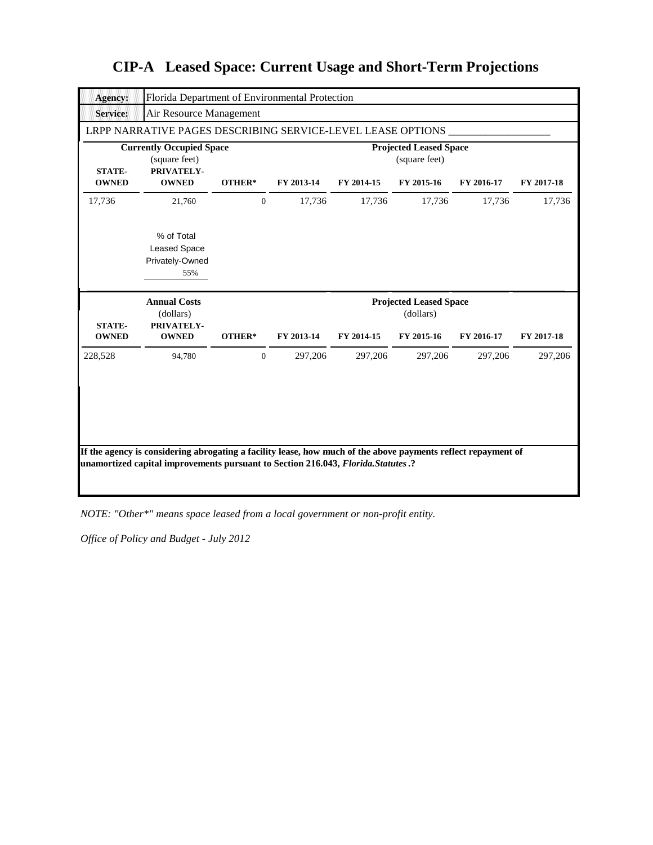| <b>Agency:</b>                | Florida Department of Environmental Protection                 |                  |            |            |                                                |            |            |
|-------------------------------|----------------------------------------------------------------|------------------|------------|------------|------------------------------------------------|------------|------------|
| <b>Service:</b>               | Air Resource Management                                        |                  |            |            |                                                |            |            |
|                               | LRPP NARRATIVE PAGES DESCRIBING SERVICE-LEVEL LEASE OPTIONS    |                  |            |            |                                                |            |            |
| <b>STATE-</b>                 | <b>Currently Occupied Space</b><br>(square feet)<br>PRIVATELY- |                  |            |            | <b>Projected Leased Space</b><br>(square feet) |            |            |
| <b>OWNED</b>                  | <b>OWNED</b>                                                   | OTHER*           | FY 2013-14 | FY 2014-15 | FY 2015-16                                     | FY 2016-17 | FY 2017-18 |
| 17,736                        | 21,760                                                         | $\boldsymbol{0}$ | 17,736     | 17,736     | 17,736                                         | 17,736     | 17,736     |
|                               | % of Total<br><b>Leased Space</b><br>Privately-Owned<br>55%    |                  |            |            |                                                |            |            |
|                               |                                                                |                  |            |            |                                                |            |            |
|                               | <b>Annual Costs</b><br>(dollars)                               |                  |            |            | <b>Projected Leased Space</b><br>(dollars)     |            |            |
| <b>STATE-</b><br><b>OWNED</b> | PRIVATELY-<br><b>OWNED</b>                                     | OTHER*           | FY 2013-14 | FY 2014-15 | FY 2015-16                                     | FY 2016-17 | FY 2017-18 |
| 228,528                       | 94,780                                                         | $\overline{0}$   | 297,206    | 297,206    | 297,206                                        | 297,206    | 297,206    |

*NOTE: "Other\*" means space leased from a local government or non-profit entity.*